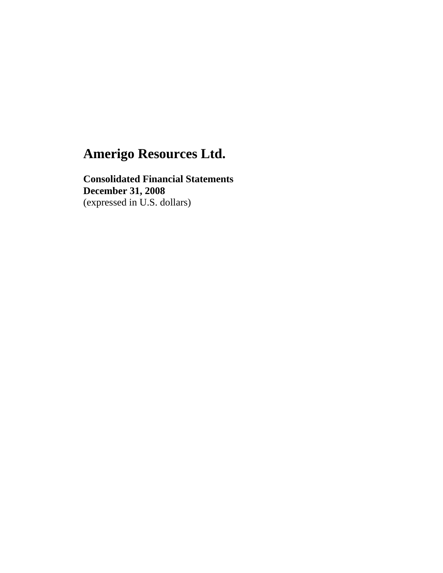**Consolidated Financial Statements December 31, 2008**  (expressed in U.S. dollars)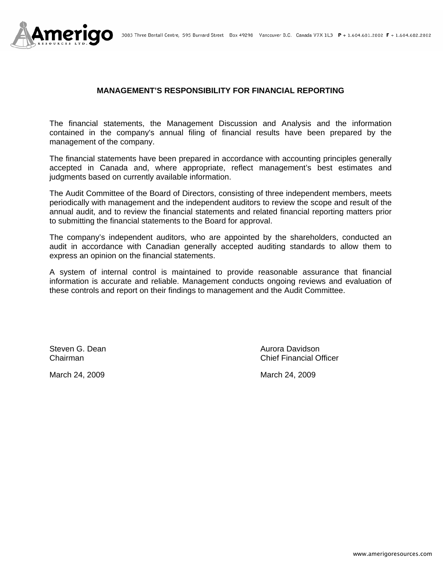

#### **MANAGEMENT'S RESPONSIBILITY FOR FINANCIAL REPORTING**

The financial statements, the Management Discussion and Analysis and the information contained in the company's annual filing of financial results have been prepared by the management of the company.

The financial statements have been prepared in accordance with accounting principles generally accepted in Canada and, where appropriate, reflect management's best estimates and judgments based on currently available information.

The Audit Committee of the Board of Directors, consisting of three independent members, meets periodically with management and the independent auditors to review the scope and result of the annual audit, and to review the financial statements and related financial reporting matters prior to submitting the financial statements to the Board for approval.

The company's independent auditors, who are appointed by the shareholders, conducted an audit in accordance with Canadian generally accepted auditing standards to allow them to express an opinion on the financial statements.

A system of internal control is maintained to provide reasonable assurance that financial information is accurate and reliable. Management conducts ongoing reviews and evaluation of these controls and report on their findings to management and the Audit Committee.

March 24, 2009 March 24, 2009

Steven G. Dean **Aurora Davidson** Aurora Davidson Chairman Chief Financial Officer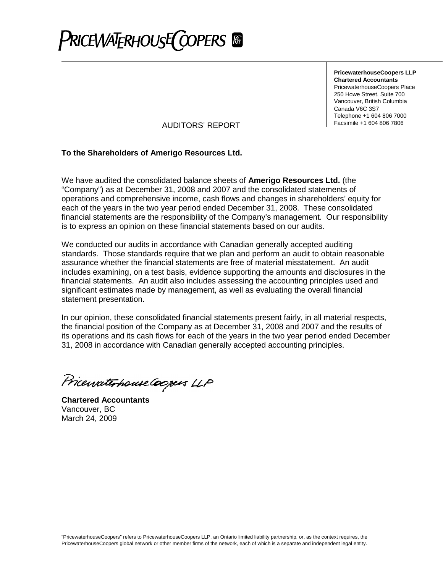

**PricewaterhouseCoopers LLP Chartered Accountants** PricewaterhouseCoopers Place 250 Howe Street, Suite 700 Vancouver, British Columbia Canada V6C 3S7 Telephone +1 604 806 7000

Facsimile +1 604 806 7806 AUDITORS' REPORT

### **To the Shareholders of Amerigo Resources Ltd.**

We have audited the consolidated balance sheets of **Amerigo Resources Ltd.** (the "Company") as at December 31, 2008 and 2007 and the consolidated statements of operations and comprehensive income, cash flows and changes in shareholders' equity for each of the years in the two year period ended December 31, 2008. These consolidated financial statements are the responsibility of the Company's management. Our responsibility is to express an opinion on these financial statements based on our audits.

We conducted our audits in accordance with Canadian generally accepted auditing standards. Those standards require that we plan and perform an audit to obtain reasonable assurance whether the financial statements are free of material misstatement. An audit includes examining, on a test basis, evidence supporting the amounts and disclosures in the financial statements. An audit also includes assessing the accounting principles used and significant estimates made by management, as well as evaluating the overall financial statement presentation.

In our opinion, these consolidated financial statements present fairly, in all material respects, the financial position of the Company as at December 31, 2008 and 2007 and the results of its operations and its cash flows for each of the years in the two year period ended December 31, 2008 in accordance with Canadian generally accepted accounting principles.

Pricewaterhouse Coopers LLP

**Chartered Accountants** Vancouver, BC March 24, 2009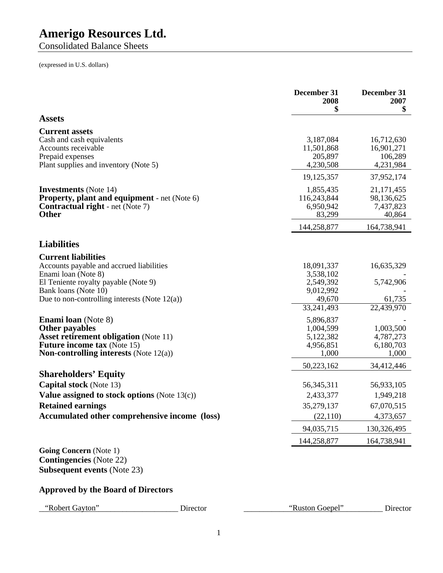Consolidated Balance Sheets

(expressed in U.S. dollars)

|                                                                                                                                                                                               |          | December 31<br>2008<br>\$                                      | December 31<br>2007<br>\$                                        |
|-----------------------------------------------------------------------------------------------------------------------------------------------------------------------------------------------|----------|----------------------------------------------------------------|------------------------------------------------------------------|
| <b>Assets</b>                                                                                                                                                                                 |          |                                                                |                                                                  |
| <b>Current assets</b><br>Cash and cash equivalents<br>Accounts receivable<br>Prepaid expenses<br>Plant supplies and inventory (Note 5)                                                        |          | 3,187,084<br>11,501,868<br>205,897<br>4,230,508                | 16,712,630<br>16,901,271<br>106,289<br>4,231,984                 |
|                                                                                                                                                                                               |          | 19,125,357                                                     | 37,952,174                                                       |
| <b>Investments</b> (Note 14)<br><b>Property, plant and equipment</b> - net (Note 6)<br><b>Contractual right</b> - net (Note 7)<br><b>Other</b>                                                |          | 1,855,435<br>116,243,844<br>6,950,942<br>83,299<br>144,258,877 | 21, 171, 455<br>98,136,625<br>7,437,823<br>40,864<br>164,738,941 |
| <b>Liabilities</b>                                                                                                                                                                            |          |                                                                |                                                                  |
| <b>Current liabilities</b><br>Accounts payable and accrued liabilities                                                                                                                        |          | 18,091,337                                                     | 16,635,329                                                       |
| Enami loan (Note 8)<br>El Teniente royalty payable (Note 9)<br>Bank loans (Note 10)                                                                                                           |          | 3,538,102<br>2,549,392<br>9,012,992                            | 5,742,906                                                        |
| Due to non-controlling interests (Note $12(a)$ )                                                                                                                                              |          | 49,670<br>33,241,493                                           | 61,735<br>22,439,970                                             |
| <b>Enami loan</b> (Note 8)<br><b>Other payables</b><br><b>Asset retirement obligation</b> (Note 11)<br><b>Future income tax (Note 15)</b><br><b>Non-controlling interests</b> (Note $12(a)$ ) |          | 5,896,837<br>1,004,599<br>5,122,382<br>4,956,851<br>1,000      | 1,003,500<br>4,787,273<br>6,180,703<br>1,000                     |
|                                                                                                                                                                                               |          | 50,223,162                                                     | 34,412,446                                                       |
| <b>Shareholders' Equity</b><br><b>Capital stock</b> (Note 13)<br>Value assigned to stock options (Note $13(c)$ )<br><b>Retained earnings</b><br>Accumulated other comprehensive income (loss) |          | 56, 345, 311<br>2,433,377<br>35,279,137<br>(22, 110)           | 56,933,105<br>1,949,218<br>67,070,515<br>4,373,657               |
|                                                                                                                                                                                               |          | 94,035,715                                                     | 130,326,495                                                      |
|                                                                                                                                                                                               |          | 144,258,877                                                    | 164,738,941                                                      |
| <b>Going Concern</b> (Note 1)<br><b>Contingencies</b> (Note 22)<br><b>Subsequent events (Note 23)</b>                                                                                         |          |                                                                |                                                                  |
| <b>Approved by the Board of Directors</b>                                                                                                                                                     |          |                                                                |                                                                  |
| "Robert Gayton"                                                                                                                                                                               | Director | "Ruston Goepel"                                                | Director                                                         |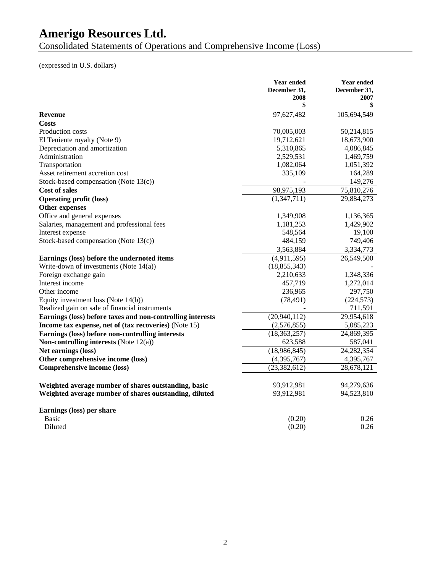Consolidated Statements of Operations and Comprehensive Income (Loss)

(expressed in U.S. dollars)

|                                                            | <b>Year ended</b> | <b>Year ended</b> |
|------------------------------------------------------------|-------------------|-------------------|
|                                                            | December 31,      | December 31,      |
|                                                            | 2008<br>\$        | 2007<br>\$        |
|                                                            |                   |                   |
| <b>Revenue</b>                                             | 97,627,482        | 105,694,549       |
| Costs                                                      |                   |                   |
| Production costs                                           | 70,005,003        | 50,214,815        |
| El Teniente royalty (Note 9)                               | 19,712,621        | 18,673,900        |
| Depreciation and amortization                              | 5,310,865         | 4,086,845         |
| Administration                                             | 2,529,531         | 1,469,759         |
| Transportation                                             | 1,082,064         | 1,051,392         |
| Asset retirement accretion cost                            | 335,109           | 164,289           |
| Stock-based compensation (Note 13(c))                      |                   | 149,276           |
| <b>Cost of sales</b>                                       | 98,975,193        | 75,810,276        |
| <b>Operating profit (loss)</b>                             | (1,347,711)       | 29,884,273        |
| Other expenses                                             |                   |                   |
| Office and general expenses                                | 1,349,908         | 1,136,365         |
| Salaries, management and professional fees                 | 1,181,253         | 1,429,902         |
| Interest expense                                           | 548,564           | 19,100            |
| Stock-based compensation (Note 13(c))                      | 484,159           | 749,406           |
|                                                            | 3,563,884         | 3,334,773         |
| Earnings (loss) before the undernoted items                | (4,911,595)       | 26,549,500        |
| Write-down of investments (Note $14(a)$ )                  | (18, 855, 343)    |                   |
| Foreign exchange gain                                      | 2,210,633         | 1,348,336         |
| Interest income                                            | 457,719           | 1,272,014         |
| Other income                                               | 236,965           | 297,750           |
| Equity investment loss (Note 14(b))                        | (78, 491)         | (224, 573)        |
| Realized gain on sale of financial instruments             |                   | 711,591           |
| Earnings (loss) before taxes and non-controlling interests | (20,940,112)      | 29,954,618        |
| Income tax expense, net of (tax recoveries) (Note 15)      | (2,576,855)       | 5,085,223         |
| Earnings (loss) before non-controlling interests           | (18, 363, 257)    | 24,869,395        |
| Non-controlling interests (Note $12(a)$ )                  | 623,588           | 587,041           |
| Net earnings (loss)                                        | (18,986,845)      | 24, 282, 354      |
| Other comprehensive income (loss)                          | (4,395,767)       | 4,395,767         |
| Comprehensive income (loss)                                | (23, 382, 612)    | 28,678,121        |
|                                                            |                   |                   |
| Weighted average number of shares outstanding, basic       | 93,912,981        | 94,279,636        |
| Weighted average number of shares outstanding, diluted     | 93,912,981        | 94,523,810        |
|                                                            |                   |                   |
| Earnings (loss) per share                                  |                   |                   |
| Basic                                                      | (0.20)            | 0.26              |
| Diluted                                                    | (0.20)            | 0.26              |
|                                                            |                   |                   |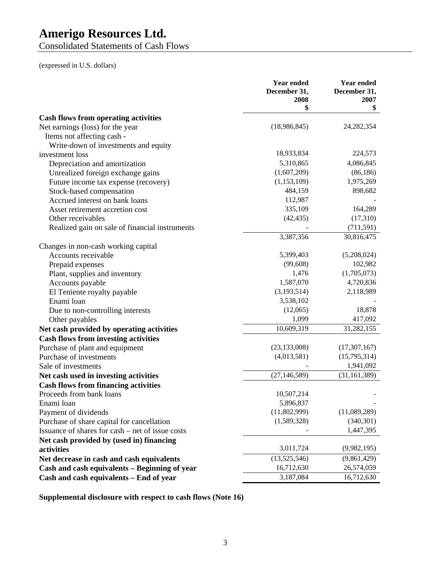Consolidated Statements of Cash Flows

(expressed in U.S. dollars)

|                                                  | <b>Year ended</b><br>December 31,<br>2008<br>\$ | Year ended<br>December 31,<br>2007<br>\$ |
|--------------------------------------------------|-------------------------------------------------|------------------------------------------|
| <b>Cash flows from operating activities</b>      |                                                 |                                          |
| Net earnings (loss) for the year                 | (18,986,845)                                    | 24, 282, 354                             |
| Items not affecting cash -                       |                                                 |                                          |
| Write-down of investments and equity             |                                                 |                                          |
| investment loss                                  | 18,933,834                                      | 224,573                                  |
| Depreciation and amortization                    | 5,310,865                                       | 4,086,845                                |
| Unrealized foreign exchange gains                | (1,607,209)                                     | (86, 186)                                |
| Future income tax expense (recovery)             | (1,153,109)                                     | 1,975,269                                |
| Stock-based compensation                         | 484,159                                         | 898,682                                  |
| Accrued interest on bank loans                   | 112,987                                         |                                          |
| Asset retirement accretion cost                  | 335,109                                         | 164,289                                  |
| Other receivables                                | (42, 435)                                       | (17,310)                                 |
| Realized gain on sale of financial instruments   |                                                 | (711, 591)                               |
|                                                  | $\overline{3,}387,356$                          | 30,816,475                               |
| Changes in non-cash working capital              |                                                 |                                          |
| Accounts receivable                              | 5,399,403                                       | (5,208,024)                              |
| Prepaid expenses                                 | (99,608)                                        | 102,982                                  |
| Plant, supplies and inventory                    | 1,476                                           | (1,705,073)                              |
| Accounts payable                                 | 1,587,070                                       | 4,720,836                                |
| El Teniente royalty payable                      | (3,193,514)                                     | 2,118,989                                |
| Enami loan                                       | 3,538,102                                       |                                          |
| Due to non-controlling interests                 | (12,065)                                        | 18,878                                   |
| Other payables                                   | 1,099                                           | 417,092                                  |
| Net cash provided by operating activities        | 10,609,319                                      | 31,282,155                               |
| <b>Cash flows from investing activities</b>      |                                                 |                                          |
| Purchase of plant and equipment                  | (23, 133, 008)                                  | (17,307,167)                             |
| Purchase of investments                          | (4,013,581)                                     | (15,795,314)                             |
| Sale of investments                              |                                                 | 1,941,092                                |
| Net cash used in investing activities            | (27, 146, 589)                                  | (31, 161, 389)                           |
| <b>Cash flows from financing activities</b>      |                                                 |                                          |
| Proceeds from bank loans                         | 10,507,214                                      |                                          |
| Enami loan                                       | 5,896,837                                       |                                          |
| Payment of dividends                             | (11,802,999)                                    | (11,089,289)                             |
| Purchase of share capital for cancellation       | (1,589,328)                                     | (340, 301)                               |
| Issuance of shares for cash – net of issue costs |                                                 | 1,447,395                                |
| Net cash provided by (used in) financing         |                                                 |                                          |
| activities                                       | 3,011,724                                       | (9,982,195)                              |
| Net decrease in cash and cash equivalents        | (13,525,546)                                    | (9,861,429)                              |
| Cash and cash equivalents - Beginning of year    | 16,712,630                                      | 26,574,059                               |
| Cash and cash equivalents - End of year          | 3,187,084                                       | 16,712,630                               |

**Supplemental disclosure with respect to cash flows (Note 16)**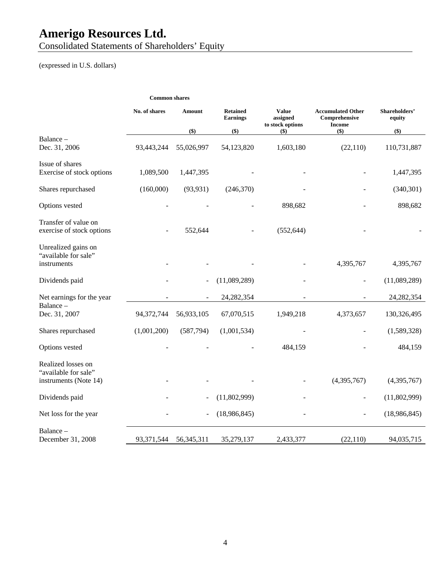Consolidated Statements of Shareholders' Equity

(expressed in U.S. dollars)

|                                                            | <b>Common shares</b> |               |                                    |                                              |                                                            |                         |
|------------------------------------------------------------|----------------------|---------------|------------------------------------|----------------------------------------------|------------------------------------------------------------|-------------------------|
|                                                            | No. of shares        | <b>Amount</b> | <b>Retained</b><br><b>Earnings</b> | <b>Value</b><br>assigned<br>to stock options | <b>Accumulated Other</b><br>Comprehensive<br><b>Income</b> | Shareholders'<br>equity |
|                                                            |                      | \$)           | \$)                                | $($ \$)                                      | \$)                                                        | \$)                     |
| Balance -<br>Dec. 31, 2006                                 | 93,443,244           | 55,026,997    | 54,123,820                         | 1,603,180                                    | (22, 110)                                                  | 110,731,887             |
| Issue of shares                                            |                      |               |                                    |                                              |                                                            |                         |
| Exercise of stock options                                  | 1,089,500            | 1,447,395     |                                    |                                              |                                                            | 1,447,395               |
| Shares repurchased                                         | (160,000)            | (93, 931)     | (246,370)                          |                                              |                                                            | (340, 301)              |
| Options vested                                             |                      |               |                                    | 898,682                                      |                                                            | 898,682                 |
| Transfer of value on<br>exercise of stock options          |                      | 552,644       |                                    | (552, 644)                                   |                                                            |                         |
| Unrealized gains on<br>"available for sale"<br>instruments |                      |               |                                    |                                              | 4,395,767                                                  | 4,395,767               |
| Dividends paid                                             |                      |               | (11,089,289)                       |                                              |                                                            | (11,089,289)            |
| Net earnings for the year                                  |                      |               | 24, 282, 354                       |                                              |                                                            | 24, 282, 354            |
| Balance-<br>Dec. 31, 2007                                  | 94,372,744           | 56,933,105    | 67,070,515                         | 1,949,218                                    | 4,373,657                                                  | 130,326,495             |
| Shares repurchased                                         | (1,001,200)          | (587,794)     | (1,001,534)                        |                                              |                                                            | (1,589,328)             |
| Options vested                                             |                      |               |                                    | 484,159                                      |                                                            | 484,159                 |
| Realized losses on<br>"available for sale"                 |                      |               |                                    |                                              |                                                            |                         |
| instruments (Note 14)                                      |                      |               |                                    |                                              | (4,395,767)                                                | (4,395,767)             |
| Dividends paid                                             |                      |               | (11,802,999)                       |                                              |                                                            | (11,802,999)            |
| Net loss for the year                                      |                      |               | (18,986,845)                       |                                              |                                                            | (18,986,845)            |
| Balance-                                                   |                      |               |                                    |                                              |                                                            |                         |
| December 31, 2008                                          | 93,371,544           | 56, 345, 311  | 35,279,137                         | 2,433,377                                    | (22, 110)                                                  | 94,035,715              |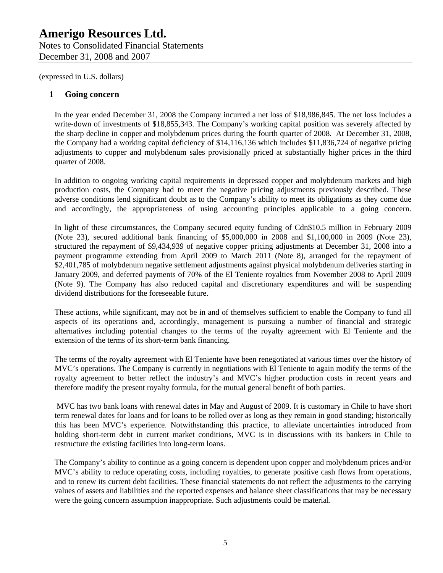## **1 Going concern**

In the year ended December 31, 2008 the Company incurred a net loss of \$18,986,845. The net loss includes a write-down of investments of \$18,855,343. The Company's working capital position was severely affected by the sharp decline in copper and molybdenum prices during the fourth quarter of 2008. At December 31, 2008, the Company had a working capital deficiency of \$14,116,136 which includes \$11,836,724 of negative pricing adjustments to copper and molybdenum sales provisionally priced at substantially higher prices in the third quarter of 2008.

In addition to ongoing working capital requirements in depressed copper and molybdenum markets and high production costs, the Company had to meet the negative pricing adjustments previously described. These adverse conditions lend significant doubt as to the Company's ability to meet its obligations as they come due and accordingly, the appropriateness of using accounting principles applicable to a going concern.

In light of these circumstances, the Company secured equity funding of Cdn\$10.5 million in February 2009 (Note 23), secured additional bank financing of \$5,000,000 in 2008 and \$1,100,000 in 2009 (Note 23), structured the repayment of \$9,434,939 of negative copper pricing adjustments at December 31, 2008 into a payment programme extending from April 2009 to March 2011 (Note 8), arranged for the repayment of \$2,401,785 of molybdenum negative settlement adjustments against physical molybdenum deliveries starting in January 2009, and deferred payments of 70% of the El Teniente royalties from November 2008 to April 2009 (Note 9). The Company has also reduced capital and discretionary expenditures and will be suspending dividend distributions for the foreseeable future.

These actions, while significant, may not be in and of themselves sufficient to enable the Company to fund all aspects of its operations and, accordingly, management is pursuing a number of financial and strategic alternatives including potential changes to the terms of the royalty agreement with El Teniente and the extension of the terms of its short-term bank financing.

The terms of the royalty agreement with El Teniente have been renegotiated at various times over the history of MVC's operations. The Company is currently in negotiations with El Teniente to again modify the terms of the royalty agreement to better reflect the industry's and MVC's higher production costs in recent years and therefore modify the present royalty formula, for the mutual general benefit of both parties.

 MVC has two bank loans with renewal dates in May and August of 2009. It is customary in Chile to have short term renewal dates for loans and for loans to be rolled over as long as they remain in good standing; historically this has been MVC's experience. Notwithstanding this practice, to alleviate uncertainties introduced from holding short-term debt in current market conditions, MVC is in discussions with its bankers in Chile to restructure the existing facilities into long-term loans.

The Company's ability to continue as a going concern is dependent upon copper and molybdenum prices and/or MVC's ability to reduce operating costs, including royalties, to generate positive cash flows from operations, and to renew its current debt facilities. These financial statements do not reflect the adjustments to the carrying values of assets and liabilities and the reported expenses and balance sheet classifications that may be necessary were the going concern assumption inappropriate. Such adjustments could be material.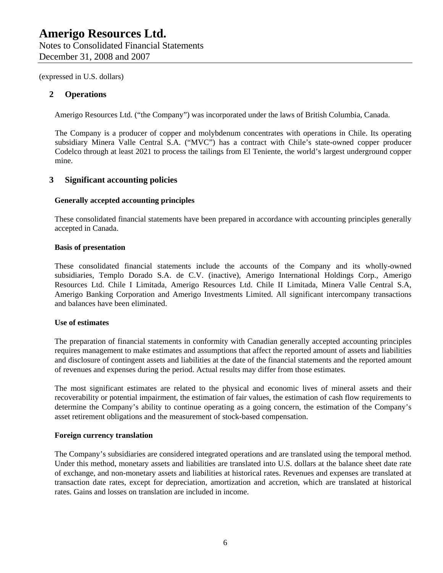## **2 Operations**

Amerigo Resources Ltd. ("the Company") was incorporated under the laws of British Columbia, Canada.

The Company is a producer of copper and molybdenum concentrates with operations in Chile. Its operating subsidiary Minera Valle Central S.A. ("MVC") has a contract with Chile's state-owned copper producer Codelco through at least 2021 to process the tailings from El Teniente, the world's largest underground copper mine.

# **3 Significant accounting policies**

#### **Generally accepted accounting principles**

These consolidated financial statements have been prepared in accordance with accounting principles generally accepted in Canada.

#### **Basis of presentation**

These consolidated financial statements include the accounts of the Company and its wholly-owned subsidiaries, Templo Dorado S.A. de C.V. (inactive), Amerigo International Holdings Corp., Amerigo Resources Ltd. Chile I Limitada, Amerigo Resources Ltd. Chile II Limitada, Minera Valle Central S.A, Amerigo Banking Corporation and Amerigo Investments Limited. All significant intercompany transactions and balances have been eliminated.

### **Use of estimates**

The preparation of financial statements in conformity with Canadian generally accepted accounting principles requires management to make estimates and assumptions that affect the reported amount of assets and liabilities and disclosure of contingent assets and liabilities at the date of the financial statements and the reported amount of revenues and expenses during the period. Actual results may differ from those estimates.

The most significant estimates are related to the physical and economic lives of mineral assets and their recoverability or potential impairment, the estimation of fair values, the estimation of cash flow requirements to determine the Company's ability to continue operating as a going concern, the estimation of the Company's asset retirement obligations and the measurement of stock-based compensation.

#### **Foreign currency translation**

The Company's subsidiaries are considered integrated operations and are translated using the temporal method. Under this method, monetary assets and liabilities are translated into U.S. dollars at the balance sheet date rate of exchange, and non-monetary assets and liabilities at historical rates. Revenues and expenses are translated at transaction date rates, except for depreciation, amortization and accretion, which are translated at historical rates. Gains and losses on translation are included in income.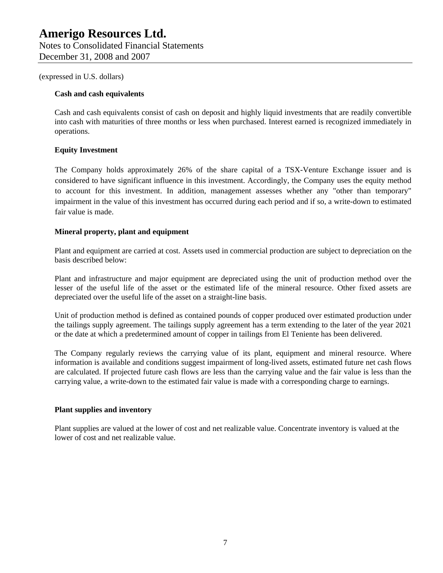#### **Cash and cash equivalents**

Cash and cash equivalents consist of cash on deposit and highly liquid investments that are readily convertible into cash with maturities of three months or less when purchased. Interest earned is recognized immediately in operations.

### **Equity Investment**

The Company holds approximately 26% of the share capital of a TSX-Venture Exchange issuer and is considered to have significant influence in this investment. Accordingly, the Company uses the equity method to account for this investment. In addition, management assesses whether any "other than temporary" impairment in the value of this investment has occurred during each period and if so, a write-down to estimated fair value is made.

#### **Mineral property, plant and equipment**

Plant and equipment are carried at cost. Assets used in commercial production are subject to depreciation on the basis described below:

Plant and infrastructure and major equipment are depreciated using the unit of production method over the lesser of the useful life of the asset or the estimated life of the mineral resource. Other fixed assets are depreciated over the useful life of the asset on a straight-line basis.

Unit of production method is defined as contained pounds of copper produced over estimated production under the tailings supply agreement. The tailings supply agreement has a term extending to the later of the year 2021 or the date at which a predetermined amount of copper in tailings from El Teniente has been delivered.

The Company regularly reviews the carrying value of its plant, equipment and mineral resource. Where information is available and conditions suggest impairment of long-lived assets, estimated future net cash flows are calculated. If projected future cash flows are less than the carrying value and the fair value is less than the carrying value, a write-down to the estimated fair value is made with a corresponding charge to earnings.

### **Plant supplies and inventory**

Plant supplies are valued at the lower of cost and net realizable value. Concentrate inventory is valued at the lower of cost and net realizable value.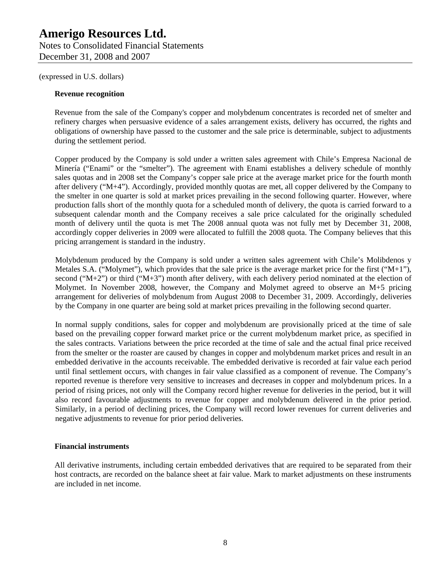Notes to Consolidated Financial Statements December 31, 2008 and 2007

(expressed in U.S. dollars)

### **Revenue recognition**

Revenue from the sale of the Company's copper and molybdenum concentrates is recorded net of smelter and refinery charges when persuasive evidence of a sales arrangement exists, delivery has occurred, the rights and obligations of ownership have passed to the customer and the sale price is determinable, subject to adjustments during the settlement period.

Copper produced by the Company is sold under a written sales agreement with Chile's Empresa Nacional de Minería ("Enami" or the "smelter"). The agreement with Enami establishes a delivery schedule of monthly sales quotas and in 2008 set the Company's copper sale price at the average market price for the fourth month after delivery ("M+4"). Accordingly, provided monthly quotas are met, all copper delivered by the Company to the smelter in one quarter is sold at market prices prevailing in the second following quarter. However, where production falls short of the monthly quota for a scheduled month of delivery, the quota is carried forward to a subsequent calendar month and the Company receives a sale price calculated for the originally scheduled month of delivery until the quota is met The 2008 annual quota was not fully met by December 31, 2008, accordingly copper deliveries in 2009 were allocated to fulfill the 2008 quota. The Company believes that this pricing arrangement is standard in the industry.

Molybdenum produced by the Company is sold under a written sales agreement with Chile's Molibdenos y Metales S.A. ("Molymet"), which provides that the sale price is the average market price for the first (" $M+1$ "), second (" $M+2$ ") or third (" $M+3$ ") month after delivery, with each delivery period nominated at the election of Molymet. In November 2008, however, the Company and Molymet agreed to observe an M+5 pricing arrangement for deliveries of molybdenum from August 2008 to December 31, 2009. Accordingly, deliveries by the Company in one quarter are being sold at market prices prevailing in the following second quarter.

In normal supply conditions, sales for copper and molybdenum are provisionally priced at the time of sale based on the prevailing copper forward market price or the current molybdenum market price, as specified in the sales contracts. Variations between the price recorded at the time of sale and the actual final price received from the smelter or the roaster are caused by changes in copper and molybdenum market prices and result in an embedded derivative in the accounts receivable. The embedded derivative is recorded at fair value each period until final settlement occurs, with changes in fair value classified as a component of revenue. The Company's reported revenue is therefore very sensitive to increases and decreases in copper and molybdenum prices. In a period of rising prices, not only will the Company record higher revenue for deliveries in the period, but it will also record favourable adjustments to revenue for copper and molybdenum delivered in the prior period. Similarly, in a period of declining prices, the Company will record lower revenues for current deliveries and negative adjustments to revenue for prior period deliveries.

### **Financial instruments**

All derivative instruments, including certain embedded derivatives that are required to be separated from their host contracts, are recorded on the balance sheet at fair value. Mark to market adjustments on these instruments are included in net income.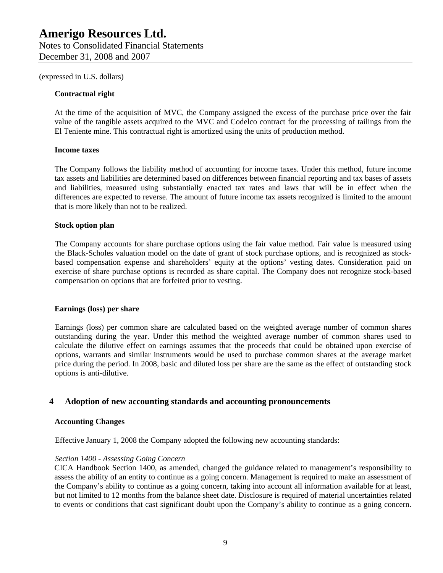#### **Contractual right**

At the time of the acquisition of MVC, the Company assigned the excess of the purchase price over the fair value of the tangible assets acquired to the MVC and Codelco contract for the processing of tailings from the El Teniente mine. This contractual right is amortized using the units of production method.

#### **Income taxes**

The Company follows the liability method of accounting for income taxes. Under this method, future income tax assets and liabilities are determined based on differences between financial reporting and tax bases of assets and liabilities, measured using substantially enacted tax rates and laws that will be in effect when the differences are expected to reverse. The amount of future income tax assets recognized is limited to the amount that is more likely than not to be realized.

#### **Stock option plan**

The Company accounts for share purchase options using the fair value method. Fair value is measured using the Black-Scholes valuation model on the date of grant of stock purchase options, and is recognized as stockbased compensation expense and shareholders' equity at the options' vesting dates. Consideration paid on exercise of share purchase options is recorded as share capital. The Company does not recognize stock-based compensation on options that are forfeited prior to vesting.

#### **Earnings (loss) per share**

Earnings (loss) per common share are calculated based on the weighted average number of common shares outstanding during the year. Under this method the weighted average number of common shares used to calculate the dilutive effect on earnings assumes that the proceeds that could be obtained upon exercise of options, warrants and similar instruments would be used to purchase common shares at the average market price during the period. In 2008, basic and diluted loss per share are the same as the effect of outstanding stock options is anti-dilutive.

### **4 Adoption of new accounting standards and accounting pronouncements**

#### **Accounting Changes**

Effective January 1, 2008 the Company adopted the following new accounting standards:

#### *Section 1400 - Assessing Going Concern*

CICA Handbook Section 1400, as amended, changed the guidance related to management's responsibility to assess the ability of an entity to continue as a going concern. Management is required to make an assessment of the Company's ability to continue as a going concern, taking into account all information available for at least, but not limited to 12 months from the balance sheet date. Disclosure is required of material uncertainties related to events or conditions that cast significant doubt upon the Company's ability to continue as a going concern.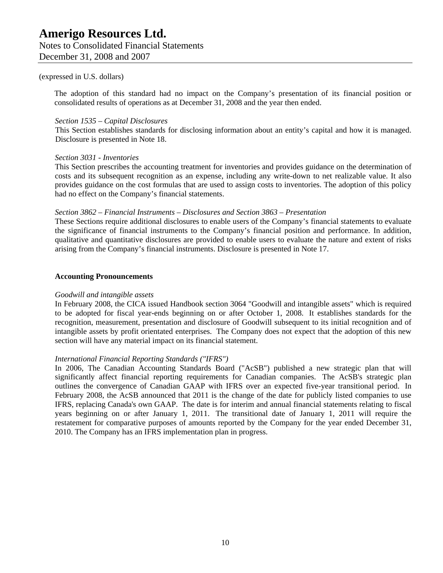Notes to Consolidated Financial Statements December 31, 2008 and 2007

#### (expressed in U.S. dollars)

The adoption of this standard had no impact on the Company's presentation of its financial position or consolidated results of operations as at December 31, 2008 and the year then ended.

#### *Section 1535 – Capital Disclosures*

This Section establishes standards for disclosing information about an entity's capital and how it is managed. Disclosure is presented in Note 18.

#### *Section 3031 - Inventories*

This Section prescribes the accounting treatment for inventories and provides guidance on the determination of costs and its subsequent recognition as an expense, including any write-down to net realizable value. It also provides guidance on the cost formulas that are used to assign costs to inventories. The adoption of this policy had no effect on the Company's financial statements.

#### *Section 3862 – Financial Instruments – Disclosures and Section 3863 – Presentation*

These Sections require additional disclosures to enable users of the Company's financial statements to evaluate the significance of financial instruments to the Company's financial position and performance. In addition, qualitative and quantitative disclosures are provided to enable users to evaluate the nature and extent of risks arising from the Company's financial instruments. Disclosure is presented in Note 17.

#### **Accounting Pronouncements**

#### *Goodwill and intangible assets*

In February 2008, the CICA issued Handbook section 3064 "Goodwill and intangible assets" which is required to be adopted for fiscal year-ends beginning on or after October 1, 2008. It establishes standards for the recognition, measurement, presentation and disclosure of Goodwill subsequent to its initial recognition and of intangible assets by profit orientated enterprises. The Company does not expect that the adoption of this new section will have any material impact on its financial statement.

### *International Financial Reporting Standards ("IFRS")*

In 2006, The Canadian Accounting Standards Board ("AcSB") published a new strategic plan that will significantly affect financial reporting requirements for Canadian companies. The AcSB's strategic plan outlines the convergence of Canadian GAAP with IFRS over an expected five-year transitional period. In February 2008, the AcSB announced that 2011 is the change of the date for publicly listed companies to use IFRS, replacing Canada's own GAAP. The date is for interim and annual financial statements relating to fiscal years beginning on or after January 1, 2011. The transitional date of January 1, 2011 will require the restatement for comparative purposes of amounts reported by the Company for the year ended December 31, 2010. The Company has an IFRS implementation plan in progress.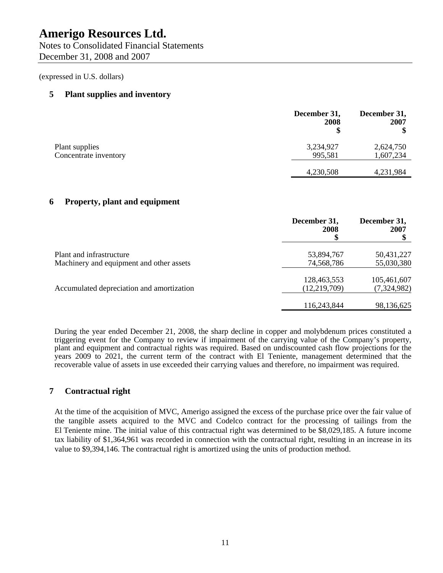Notes to Consolidated Financial Statements December 31, 2008 and 2007

(expressed in U.S. dollars)

# **5 Plant supplies and inventory**

|                       | December 31,<br>2008 | December 31,<br>2007 |
|-----------------------|----------------------|----------------------|
| Plant supplies        | 3,234,927            | 2,624,750            |
| Concentrate inventory | 995,581              | 1,607,234            |
|                       | 4,230,508            | 4,231,984            |

# **6 Property, plant and equipment**

|                                                                      | December 31,<br>2008<br>ъĐ    | December 31,<br>2007       |
|----------------------------------------------------------------------|-------------------------------|----------------------------|
| Plant and infrastructure<br>Machinery and equipment and other assets | 53,894,767<br>74,568,786      | 50,431,227<br>55,030,380   |
| Accumulated depreciation and amortization                            | 128,463,553<br>(12, 219, 709) | 105,461,607<br>(7,324,982) |
|                                                                      | 116,243,844                   | 98,136,625                 |

During the year ended December 21, 2008, the sharp decline in copper and molybdenum prices constituted a triggering event for the Company to review if impairment of the carrying value of the Company's property, plant and equipment and contractual rights was required. Based on undiscounted cash flow projections for the years 2009 to 2021, the current term of the contract with El Teniente, management determined that the recoverable value of assets in use exceeded their carrying values and therefore, no impairment was required.

# **7 Contractual right**

At the time of the acquisition of MVC, Amerigo assigned the excess of the purchase price over the fair value of the tangible assets acquired to the MVC and Codelco contract for the processing of tailings from the El Teniente mine. The initial value of this contractual right was determined to be \$8,029,185. A future income tax liability of \$1,364,961 was recorded in connection with the contractual right, resulting in an increase in its value to \$9,394,146. The contractual right is amortized using the units of production method.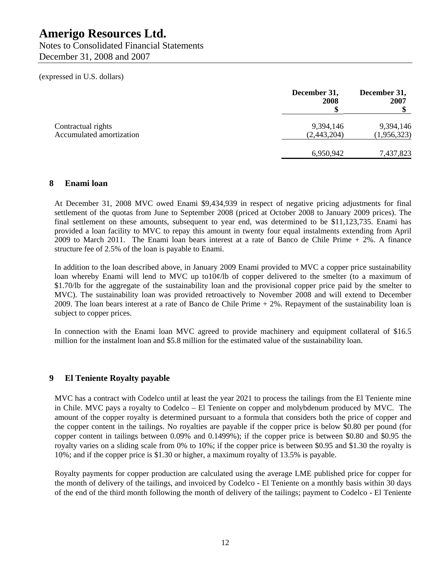Notes to Consolidated Financial Statements December 31, 2008 and 2007

(expressed in U.S. dollars)

|                                                | December 31,<br>2008     | December 31,<br>2007     |
|------------------------------------------------|--------------------------|--------------------------|
| Contractual rights<br>Accumulated amortization | 9,394,146<br>(2,443,204) | 9,394,146<br>(1,956,323) |
|                                                | 6,950,942                | 7,437,823                |

# **8 Enami loan**

At December 31, 2008 MVC owed Enami \$9,434,939 in respect of negative pricing adjustments for final settlement of the quotas from June to September 2008 (priced at October 2008 to January 2009 prices). The final settlement on these amounts, subsequent to year end, was determined to be \$11,123,735. Enami has provided a loan facility to MVC to repay this amount in twenty four equal instalments extending from April 2009 to March 2011. The Enami loan bears interest at a rate of Banco de Chile Prime + 2%. A finance structure fee of 2.5% of the loan is payable to Enami.

In addition to the loan described above, in January 2009 Enami provided to MVC a copper price sustainability loan whereby Enami will lend to MVC up to10¢/lb of copper delivered to the smelter (to a maximum of \$1.70/lb for the aggregate of the sustainability loan and the provisional copper price paid by the smelter to MVC). The sustainability loan was provided retroactively to November 2008 and will extend to December 2009. The loan bears interest at a rate of Banco de Chile Prime + 2%. Repayment of the sustainability loan is subject to copper prices.

In connection with the Enami loan MVC agreed to provide machinery and equipment collateral of \$16.5 million for the instalment loan and \$5.8 million for the estimated value of the sustainability loan.

# **9 El Teniente Royalty payable**

MVC has a contract with Codelco until at least the year 2021 to process the tailings from the El Teniente mine in Chile. MVC pays a royalty to Codelco – El Teniente on copper and molybdenum produced by MVC. The amount of the copper royalty is determined pursuant to a formula that considers both the price of copper and the copper content in the tailings. No royalties are payable if the copper price is below \$0.80 per pound (for copper content in tailings between 0.09% and 0.1499%); if the copper price is between \$0.80 and \$0.95 the royalty varies on a sliding scale from 0% to 10%; if the copper price is between \$0.95 and \$1.30 the royalty is 10%; and if the copper price is \$1.30 or higher, a maximum royalty of 13.5% is payable.

Royalty payments for copper production are calculated using the average LME published price for copper for the month of delivery of the tailings, and invoiced by Codelco - El Teniente on a monthly basis within 30 days of the end of the third month following the month of delivery of the tailings; payment to Codelco - El Teniente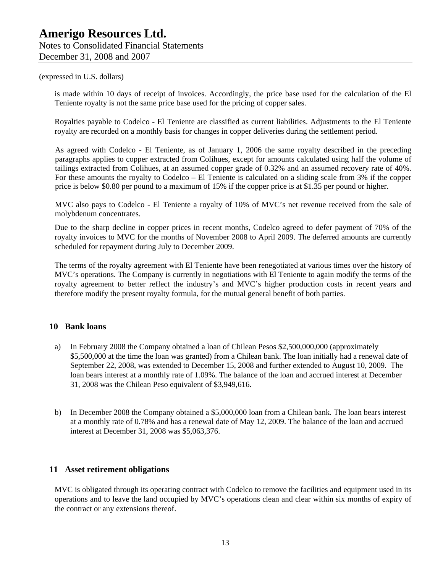is made within 10 days of receipt of invoices. Accordingly, the price base used for the calculation of the El Teniente royalty is not the same price base used for the pricing of copper sales.

Royalties payable to Codelco - El Teniente are classified as current liabilities. Adjustments to the El Teniente royalty are recorded on a monthly basis for changes in copper deliveries during the settlement period.

As agreed with Codelco - El Teniente, as of January 1, 2006 the same royalty described in the preceding paragraphs applies to copper extracted from Colihues, except for amounts calculated using half the volume of tailings extracted from Colihues, at an assumed copper grade of 0.32% and an assumed recovery rate of 40%. For these amounts the royalty to Codelco – El Teniente is calculated on a sliding scale from 3% if the copper price is below \$0.80 per pound to a maximum of 15% if the copper price is at \$1.35 per pound or higher.

MVC also pays to Codelco - El Teniente a royalty of 10% of MVC's net revenue received from the sale of molybdenum concentrates.

Due to the sharp decline in copper prices in recent months, Codelco agreed to defer payment of 70% of the royalty invoices to MVC for the months of November 2008 to April 2009. The deferred amounts are currently scheduled for repayment during July to December 2009.

The terms of the royalty agreement with El Teniente have been renegotiated at various times over the history of MVC's operations. The Company is currently in negotiations with El Teniente to again modify the terms of the royalty agreement to better reflect the industry's and MVC's higher production costs in recent years and therefore modify the present royalty formula, for the mutual general benefit of both parties.

### **10 Bank loans**

- a) In February 2008 the Company obtained a loan of Chilean Pesos \$2,500,000,000 (approximately \$5,500,000 at the time the loan was granted) from a Chilean bank. The loan initially had a renewal date of September 22, 2008, was extended to December 15, 2008 and further extended to August 10, 2009. The loan bears interest at a monthly rate of 1.09%. The balance of the loan and accrued interest at December 31, 2008 was the Chilean Peso equivalent of \$3,949,616.
- b) In December 2008 the Company obtained a \$5,000,000 loan from a Chilean bank. The loan bears interest at a monthly rate of 0.78% and has a renewal date of May 12, 2009. The balance of the loan and accrued interest at December 31, 2008 was \$5,063,376.

## **11 Asset retirement obligations**

MVC is obligated through its operating contract with Codelco to remove the facilities and equipment used in its operations and to leave the land occupied by MVC's operations clean and clear within six months of expiry of the contract or any extensions thereof.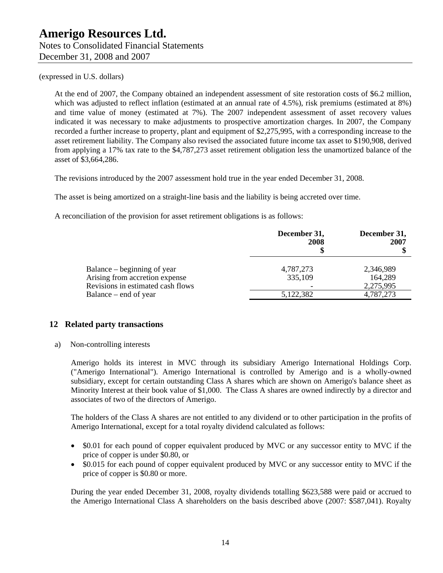At the end of 2007, the Company obtained an independent assessment of site restoration costs of \$6.2 million, which was adjusted to reflect inflation (estimated at an annual rate of 4.5%), risk premiums (estimated at 8%) and time value of money (estimated at 7%). The 2007 independent assessment of asset recovery values indicated it was necessary to make adjustments to prospective amortization charges. In 2007, the Company recorded a further increase to property, plant and equipment of \$2,275,995, with a corresponding increase to the asset retirement liability. The Company also revised the associated future income tax asset to \$190,908, derived from applying a 17% tax rate to the \$4,787,273 asset retirement obligation less the unamortized balance of the asset of \$3,664,286.

The revisions introduced by the 2007 assessment hold true in the year ended December 31, 2008.

The asset is being amortized on a straight-line basis and the liability is being accreted over time.

A reconciliation of the provision for asset retirement obligations is as follows:

|                                                                                                                             | December 31,<br>2008              | December 31,<br>2007                           |
|-----------------------------------------------------------------------------------------------------------------------------|-----------------------------------|------------------------------------------------|
| Balance – beginning of year<br>Arising from accretion expense<br>Revisions in estimated cash flows<br>Balance – end of year | 4,787,273<br>335,109<br>5,122,382 | 2,346,989<br>164,289<br>2,275,995<br>4,787,273 |

# **12 Related party transactions**

a) Non-controlling interests

Amerigo holds its interest in MVC through its subsidiary Amerigo International Holdings Corp. ("Amerigo International"). Amerigo International is controlled by Amerigo and is a wholly-owned subsidiary, except for certain outstanding Class A shares which are shown on Amerigo's balance sheet as Minority Interest at their book value of \$1,000. The Class A shares are owned indirectly by a director and associates of two of the directors of Amerigo.

The holders of the Class A shares are not entitled to any dividend or to other participation in the profits of Amerigo International, except for a total royalty dividend calculated as follows:

- \$0.01 for each pound of copper equivalent produced by MVC or any successor entity to MVC if the price of copper is under \$0.80, or
- \$0.015 for each pound of copper equivalent produced by MVC or any successor entity to MVC if the price of copper is \$0.80 or more.

During the year ended December 31, 2008, royalty dividends totalling \$623,588 were paid or accrued to the Amerigo International Class A shareholders on the basis described above (2007: \$587,041). Royalty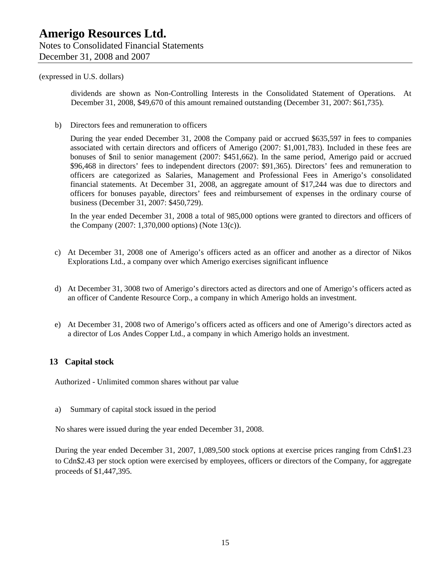dividends are shown as Non-Controlling Interests in the Consolidated Statement of Operations. At December 31, 2008, \$49,670 of this amount remained outstanding (December 31, 2007: \$61,735).

b) Directors fees and remuneration to officers

During the year ended December 31, 2008 the Company paid or accrued \$635,597 in fees to companies associated with certain directors and officers of Amerigo (2007: \$1,001,783). Included in these fees are bonuses of \$nil to senior management (2007: \$451,662). In the same period, Amerigo paid or accrued \$96,468 in directors' fees to independent directors (2007: \$91,365). Directors' fees and remuneration to officers are categorized as Salaries, Management and Professional Fees in Amerigo's consolidated financial statements. At December 31, 2008, an aggregate amount of \$17,244 was due to directors and officers for bonuses payable, directors' fees and reimbursement of expenses in the ordinary course of business (December 31, 2007: \$450,729).

In the year ended December 31, 2008 a total of 985,000 options were granted to directors and officers of the Company (2007: 1,370,000 options) (Note 13(c)).

- c) At December 31, 2008 one of Amerigo's officers acted as an officer and another as a director of Nikos Explorations Ltd., a company over which Amerigo exercises significant influence
- d) At December 31, 3008 two of Amerigo's directors acted as directors and one of Amerigo's officers acted as an officer of Candente Resource Corp., a company in which Amerigo holds an investment.
- e) At December 31, 2008 two of Amerigo's officers acted as officers and one of Amerigo's directors acted as a director of Los Andes Copper Ltd., a company in which Amerigo holds an investment.

### **13 Capital stock**

Authorized - Unlimited common shares without par value

a) Summary of capital stock issued in the period

No shares were issued during the year ended December 31, 2008.

During the year ended December 31, 2007, 1,089,500 stock options at exercise prices ranging from Cdn\$1.23 to Cdn\$2.43 per stock option were exercised by employees, officers or directors of the Company, for aggregate proceeds of \$1,447,395.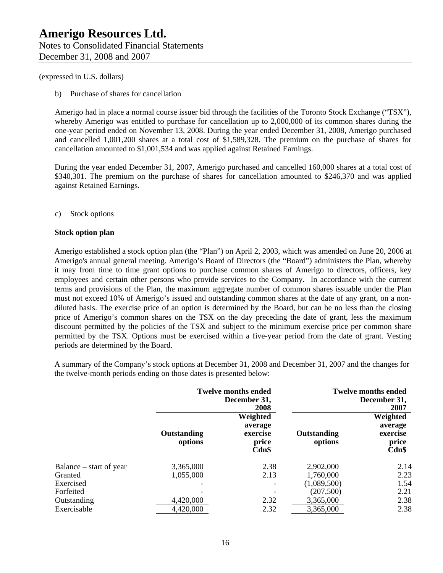b) Purchase of shares for cancellation

Amerigo had in place a normal course issuer bid through the facilities of the Toronto Stock Exchange ("TSX"), whereby Amerigo was entitled to purchase for cancellation up to 2,000,000 of its common shares during the one-year period ended on November 13, 2008. During the year ended December 31, 2008, Amerigo purchased and cancelled 1,001,200 shares at a total cost of \$1,589,328. The premium on the purchase of shares for cancellation amounted to \$1,001,534 and was applied against Retained Earnings.

During the year ended December 31, 2007, Amerigo purchased and cancelled 160,000 shares at a total cost of \$340,301. The premium on the purchase of shares for cancellation amounted to \$246,370 and was applied against Retained Earnings.

c) Stock options

#### **Stock option plan**

Amerigo established a stock option plan (the "Plan") on April 2, 2003, which was amended on June 20, 2006 at Amerigo's annual general meeting. Amerigo's Board of Directors (the "Board") administers the Plan, whereby it may from time to time grant options to purchase common shares of Amerigo to directors, officers, key employees and certain other persons who provide services to the Company. In accordance with the current terms and provisions of the Plan, the maximum aggregate number of common shares issuable under the Plan must not exceed 10% of Amerigo's issued and outstanding common shares at the date of any grant, on a nondiluted basis. The exercise price of an option is determined by the Board, but can be no less than the closing price of Amerigo's common shares on the TSX on the day preceding the date of grant, less the maximum discount permitted by the policies of the TSX and subject to the minimum exercise price per common share permitted by the TSX. Options must be exercised within a five-year period from the date of grant. Vesting periods are determined by the Board.

A summary of the Company's stock options at December 31, 2008 and December 31, 2007 and the changes for the twelve-month periods ending on those dates is presented below:

|                         | <b>Twelve months ended</b><br>December 31,<br>2008 |                                                   | <b>Twelve months ended</b><br>December 31,<br>2007 |                                                      |
|-------------------------|----------------------------------------------------|---------------------------------------------------|----------------------------------------------------|------------------------------------------------------|
|                         | Outstanding<br>options                             | Weighted<br>average<br>exercise<br>price<br>Cdn\$ | Outstanding<br>options                             | Weighted<br>average<br>exercise<br>price<br>$Cdn$ \$ |
| Balance – start of year | 3,365,000                                          | 2.38                                              | 2,902,000                                          | 2.14                                                 |
| Granted                 | 1,055,000                                          | 2.13                                              | 1,760,000                                          | 2.23                                                 |
| Exercised               |                                                    |                                                   | (1,089,500)                                        | 1.54                                                 |
| Forfeited               |                                                    |                                                   | (207, 500)                                         | 2.21                                                 |
| Outstanding             | 4,420,000                                          | 2.32                                              | 3,365,000                                          | 2.38                                                 |
| Exercisable             | 4,420,000                                          | 2.32                                              | 3,365,000                                          | 2.38                                                 |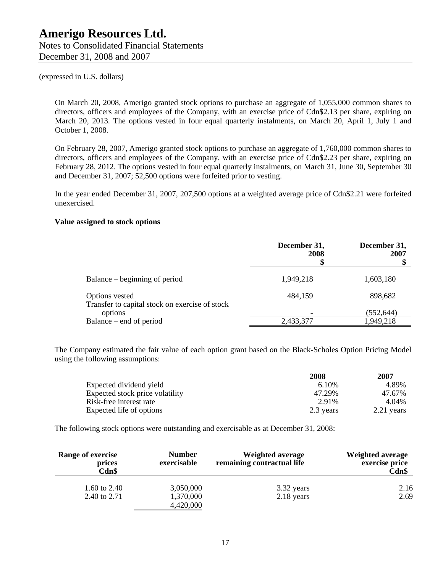Notes to Consolidated Financial Statements December 31, 2008 and 2007

(expressed in U.S. dollars)

On March 20, 2008, Amerigo granted stock options to purchase an aggregate of 1,055,000 common shares to directors, officers and employees of the Company, with an exercise price of Cdn\$2.13 per share, expiring on March 20, 2013. The options vested in four equal quarterly instalments, on March 20, April 1, July 1 and October 1, 2008.

On February 28, 2007, Amerigo granted stock options to purchase an aggregate of 1,760,000 common shares to directors, officers and employees of the Company, with an exercise price of Cdn\$2.23 per share, expiring on February 28, 2012. The options vested in four equal quarterly instalments, on March 31, June 30, September 30 and December 31, 2007; 52,500 options were forfeited prior to vesting.

In the year ended December 31, 2007, 207,500 options at a weighted average price of Cdn\$2.21 were forfeited unexercised.

#### **Value assigned to stock options**

|                                                                  | December 31,<br>2008 | December 31,<br>2007 |
|------------------------------------------------------------------|----------------------|----------------------|
| Balance – beginning of period                                    | 1,949,218            | 1,603,180            |
| Options vested<br>Transfer to capital stock on exercise of stock | 484,159              | 898,682              |
| options                                                          |                      | (552, 644)           |
| Balance – end of period                                          | 2,433,377            | 1,949,218            |

The Company estimated the fair value of each option grant based on the Black-Scholes Option Pricing Model using the following assumptions:

|                                 | 2008      | 2007       |
|---------------------------------|-----------|------------|
| Expected dividend yield         | 6.10%     | 4.89%      |
| Expected stock price volatility | 47.29%    | 47.67%     |
| Risk-free interest rate         | 2.91%     | 4.04%      |
| Expected life of options        | 2.3 years | 2.21 years |

The following stock options were outstanding and exercisable as at December 31, 2008:

| Range of exercise<br>prices<br>Cdn\$ | <b>Number</b><br>exercisable | <b>Weighted average</b><br>remaining contractual life | <b>Weighted average</b><br>exercise price<br>$Cdn$ \$ |
|--------------------------------------|------------------------------|-------------------------------------------------------|-------------------------------------------------------|
| 1.60 to 2.40<br>2.40 to 2.71         | 3,050,000<br>1,370,000       | 3.32 years<br>2.18 years                              | 2.16<br>2.69                                          |
|                                      | 4,420,000                    |                                                       |                                                       |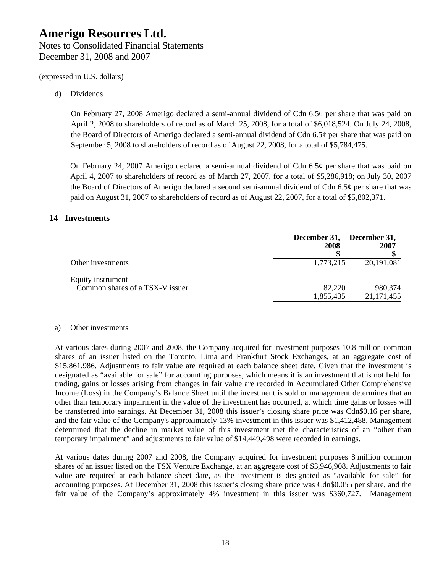December 31, 2008 and 2007

### d) Dividends

On February 27, 2008 Amerigo declared a semi-annual dividend of Cdn 6.5¢ per share that was paid on April 2, 2008 to shareholders of record as of March 25, 2008, for a total of \$6,018,524. On July 24, 2008, the Board of Directors of Amerigo declared a semi-annual dividend of Cdn 6.5¢ per share that was paid on September 5, 2008 to shareholders of record as of August 22, 2008, for a total of \$5,784,475.

On February 24, 2007 Amerigo declared a semi-annual dividend of Cdn 6.5¢ per share that was paid on April 4, 2007 to shareholders of record as of March 27, 2007, for a total of \$5,286,918; on July 30, 2007 the Board of Directors of Amerigo declared a second semi-annual dividend of Cdn 6.5¢ per share that was paid on August 31, 2007 to shareholders of record as of August 22, 2007, for a total of \$5,802,371.

### **14 Investments**

|                                                          | December 31,<br>2008 | December 31,<br>2007  |
|----------------------------------------------------------|----------------------|-----------------------|
| Other investments                                        | 1,773,215            | 20,191,081            |
| Equity instrument $-$<br>Common shares of a TSX-V issuer | 82,220<br>1,855,435  | 980,374<br>21,171,455 |

#### a) Other investments

At various dates during 2007 and 2008, the Company acquired for investment purposes 10.8 million common shares of an issuer listed on the Toronto, Lima and Frankfurt Stock Exchanges, at an aggregate cost of \$15,861,986. Adjustments to fair value are required at each balance sheet date. Given that the investment is designated as "available for sale" for accounting purposes, which means it is an investment that is not held for trading, gains or losses arising from changes in fair value are recorded in Accumulated Other Comprehensive Income (Loss) in the Company's Balance Sheet until the investment is sold or management determines that an other than temporary impairment in the value of the investment has occurred, at which time gains or losses will be transferred into earnings. At December 31, 2008 this issuer's closing share price was Cdn\$0.16 per share, and the fair value of the Company's approximately 13% investment in this issuer was \$1,412,488. Management determined that the decline in market value of this investment met the characteristics of an "other than temporary impairment" and adjustments to fair value of \$14,449,498 were recorded in earnings.

At various dates during 2007 and 2008, the Company acquired for investment purposes 8 million common shares of an issuer listed on the TSX Venture Exchange, at an aggregate cost of \$3,946,908. Adjustments to fair value are required at each balance sheet date, as the investment is designated as "available for sale" for accounting purposes. At December 31, 2008 this issuer's closing share price was Cdn\$0.055 per share, and the fair value of the Company's approximately 4% investment in this issuer was \$360,727. Management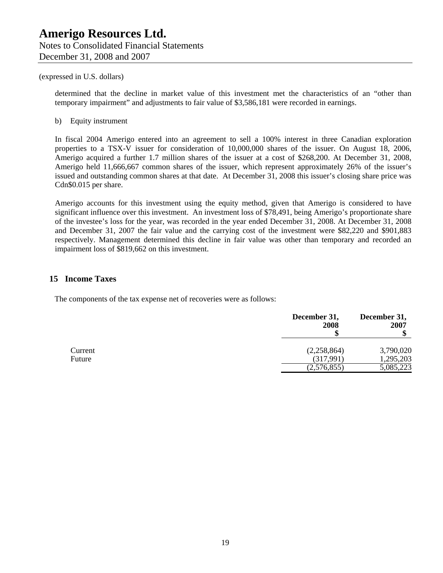determined that the decline in market value of this investment met the characteristics of an "other than temporary impairment" and adjustments to fair value of \$3,586,181 were recorded in earnings.

b) Equity instrument

In fiscal 2004 Amerigo entered into an agreement to sell a 100% interest in three Canadian exploration properties to a TSX-V issuer for consideration of 10,000,000 shares of the issuer. On August 18, 2006, Amerigo acquired a further 1.7 million shares of the issuer at a cost of \$268,200. At December 31, 2008, Amerigo held 11,666,667 common shares of the issuer, which represent approximately 26% of the issuer's issued and outstanding common shares at that date. At December 31, 2008 this issuer's closing share price was Cdn\$0.015 per share.

Amerigo accounts for this investment using the equity method, given that Amerigo is considered to have significant influence over this investment. An investment loss of \$78,491, being Amerigo's proportionate share of the investee's loss for the year, was recorded in the year ended December 31, 2008. At December 31, 2008 and December 31, 2007 the fair value and the carrying cost of the investment were \$82,220 and \$901,883 respectively. Management determined this decline in fair value was other than temporary and recorded an impairment loss of \$819,662 on this investment.

### **15 Income Taxes**

The components of the tax expense net of recoveries were as follows:

|                   | December 31,<br>2008     | December 31,<br>2007   |
|-------------------|--------------------------|------------------------|
| Current<br>Future | (2,258,864)<br>(317,991) | 3,790,020<br>1,295,203 |
|                   | (2,576,855)              | 5,085,223              |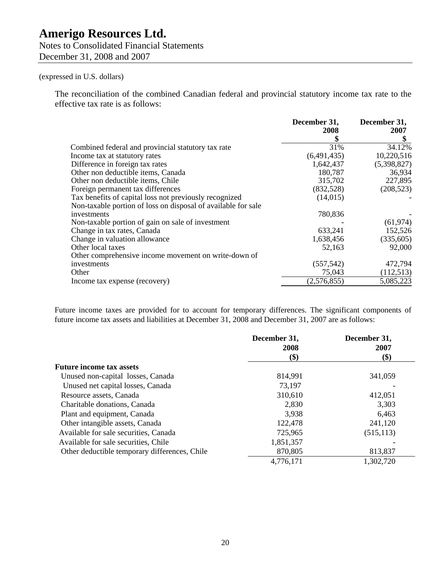Notes to Consolidated Financial Statements December 31, 2008 and 2007

# (expressed in U.S. dollars)

The reconciliation of the combined Canadian federal and provincial statutory income tax rate to the effective tax rate is as follows:

|                                                               | December 31,<br>2008 | December 31,<br>2007 |
|---------------------------------------------------------------|----------------------|----------------------|
|                                                               |                      | \$                   |
| Combined federal and provincial statutory tax rate            | 31%                  | 34.12%               |
| Income tax at statutory rates                                 | (6,491,435)          | 10,220,516           |
| Difference in foreign tax rates                               | 1,642,437            | (5,398,827)          |
| Other non deductible items, Canada                            | 180,787              | 36,934               |
| Other non deductible items, Chile                             | 315,702              | 227,895              |
| Foreign permanent tax differences                             | (832,528)            | (208, 523)           |
| Tax benefits of capital loss not previously recognized        | (14, 015)            |                      |
| Non-taxable portion of loss on disposal of available for sale |                      |                      |
| investments                                                   | 780,836              |                      |
| Non-taxable portion of gain on sale of investment             |                      | (61, 974)            |
| Change in tax rates, Canada                                   | 633,241              | 152,526              |
| Change in valuation allowance                                 | 1,638,456            | (335, 605)           |
| Other local taxes                                             | 52,163               | 92,000               |
| Other comprehensive income movement on write-down of          |                      |                      |
| investments                                                   | (557, 542)           | 472,794              |
| Other                                                         | 75,043               | (112, 513)           |
| Income tax expense (recovery)                                 | (2,576,855)          | 5,085,223            |

Future income taxes are provided for to account for temporary differences. The significant components of future income tax assets and liabilities at December 31, 2008 and December 31, 2007 are as follows:

|                                               | December 31,<br>2008 | December 31,<br>2007 |
|-----------------------------------------------|----------------------|----------------------|
|                                               | (\$)                 | \$)                  |
| <b>Future income tax assets</b>               |                      |                      |
| Unused non-capital losses, Canada             | 814,991              | 341,059              |
| Unused net capital losses, Canada             | 73,197               |                      |
| Resource assets, Canada                       | 310,610              | 412,051              |
| Charitable donations, Canada                  | 2,830                | 3,303                |
| Plant and equipment, Canada                   | 3,938                | 6,463                |
| Other intangible assets, Canada               | 122,478              | 241,120              |
| Available for sale securities, Canada         | 725,965              | (515, 113)           |
| Available for sale securities, Chile          | 1,851,357            |                      |
| Other deductible temporary differences, Chile | 870,805              | 813,837              |
|                                               | 4,776,171            | 1,302,720            |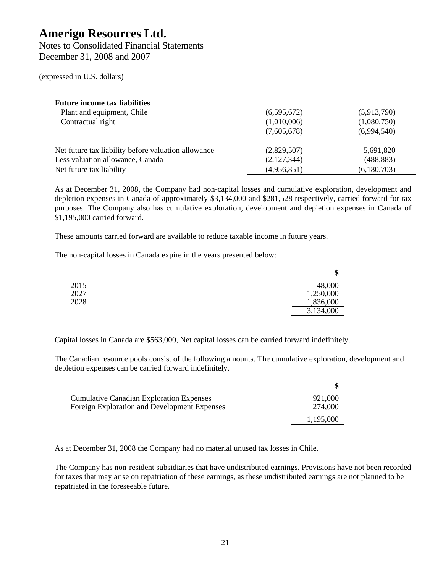Notes to Consolidated Financial Statements December 31, 2008 and 2007

(expressed in U.S. dollars)

| <b>Future income tax liabilities</b>                |             |             |
|-----------------------------------------------------|-------------|-------------|
| Plant and equipment, Chile                          | (6,595,672) | (5,913,790) |
| Contractual right                                   | (1,010,006) | (1,080,750) |
|                                                     | (7,605,678) | (6,994,540) |
| Net future tax liability before valuation allowance | (2,829,507) | 5,691,820   |
| Less valuation allowance, Canada                    | (2,127,344) | (488, 883)  |
| Net future tax liability                            | (4,956,851) | (6,180,703) |

As at December 31, 2008, the Company had non-capital losses and cumulative exploration, development and depletion expenses in Canada of approximately \$3,134,000 and \$281,528 respectively, carried forward for tax purposes. The Company also has cumulative exploration, development and depletion expenses in Canada of \$1,195,000 carried forward.

These amounts carried forward are available to reduce taxable income in future years.

The non-capital losses in Canada expire in the years presented below:

|      | \$        |
|------|-----------|
| 2015 | 48,000    |
| 2027 | 1,250,000 |
| 2028 | 1,836,000 |
|      | 3,134,000 |

Capital losses in Canada are \$563,000, Net capital losses can be carried forward indefinitely.

The Canadian resource pools consist of the following amounts. The cumulative exploration, development and depletion expenses can be carried forward indefinitely.

| <b>Cumulative Canadian Exploration Expenses</b> | 921,000   |
|-------------------------------------------------|-----------|
| Foreign Exploration and Development Expenses    | 274,000   |
|                                                 | 1,195,000 |

As at December 31, 2008 the Company had no material unused tax losses in Chile.

The Company has non-resident subsidiaries that have undistributed earnings. Provisions have not been recorded for taxes that may arise on repatriation of these earnings, as these undistributed earnings are not planned to be repatriated in the foreseeable future.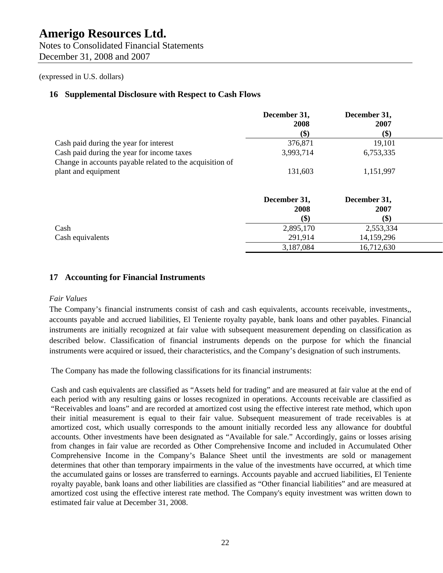Notes to Consolidated Financial Statements December 31, 2008 and 2007

### (expressed in U.S. dollars)

# **16 Supplemental Disclosure with Respect to Cash Flows**

|                                                          | December 31, | December 31, |  |
|----------------------------------------------------------|--------------|--------------|--|
|                                                          | 2008         | 2007         |  |
|                                                          | \$)          | \$)          |  |
| Cash paid during the year for interest                   | 376,871      | 19,101       |  |
| Cash paid during the year for income taxes               | 3,993,714    | 6,753,335    |  |
| Change in accounts payable related to the acquisition of |              |              |  |
| plant and equipment                                      | 131,603      | 1,151,997    |  |
|                                                          |              |              |  |
|                                                          | December 31, | December 31, |  |
|                                                          | 2008         | 2007         |  |
|                                                          | \$)          | \$)          |  |
| Cash                                                     | 2,895,170    | 2,553,334    |  |
| Cash equivalents                                         | 291,914      | 14,159,296   |  |
|                                                          | 3,187,084    | 16,712,630   |  |

## **17 Accounting for Financial Instruments**

#### *Fair Values*

The Company's financial instruments consist of cash and cash equivalents, accounts receivable, investments,, accounts payable and accrued liabilities, El Teniente royalty payable, bank loans and other payables. Financial instruments are initially recognized at fair value with subsequent measurement depending on classification as described below. Classification of financial instruments depends on the purpose for which the financial instruments were acquired or issued, their characteristics, and the Company's designation of such instruments.

The Company has made the following classifications for its financial instruments:

Cash and cash equivalents are classified as "Assets held for trading" and are measured at fair value at the end of each period with any resulting gains or losses recognized in operations. Accounts receivable are classified as "Receivables and loans" and are recorded at amortized cost using the effective interest rate method, which upon their initial measurement is equal to their fair value. Subsequent measurement of trade receivables is at amortized cost, which usually corresponds to the amount initially recorded less any allowance for doubtful accounts. Other investments have been designated as "Available for sale." Accordingly, gains or losses arising from changes in fair value are recorded as Other Comprehensive Income and included in Accumulated Other Comprehensive Income in the Company's Balance Sheet until the investments are sold or management determines that other than temporary impairments in the value of the investments have occurred, at which time the accumulated gains or losses are transferred to earnings. Accounts payable and accrued liabilities, El Teniente royalty payable, bank loans and other liabilities are classified as "Other financial liabilities" and are measured at amortized cost using the effective interest rate method. The Company's equity investment was written down to estimated fair value at December 31, 2008.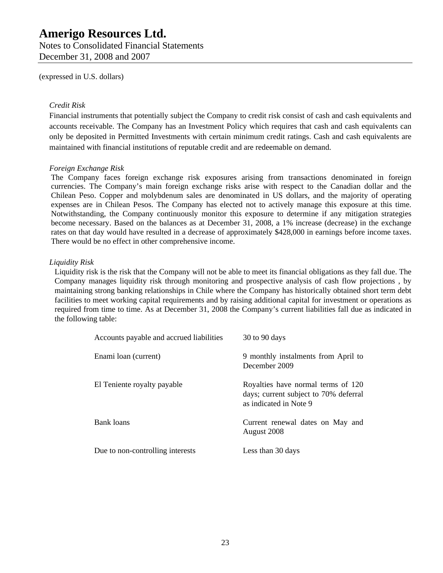Notes to Consolidated Financial Statements December 31, 2008 and 2007

(expressed in U.S. dollars)

### *Credit Risk*

Financial instruments that potentially subject the Company to credit risk consist of cash and cash equivalents and accounts receivable. The Company has an Investment Policy which requires that cash and cash equivalents can only be deposited in Permitted Investments with certain minimum credit ratings. Cash and cash equivalents are maintained with financial institutions of reputable credit and are redeemable on demand.

### *Foreign Exchange Risk*

The Company faces foreign exchange risk exposures arising from transactions denominated in foreign currencies. The Company's main foreign exchange risks arise with respect to the Canadian dollar and the Chilean Peso. Copper and molybdenum sales are denominated in US dollars, and the majority of operating expenses are in Chilean Pesos. The Company has elected not to actively manage this exposure at this time. Notwithstanding, the Company continuously monitor this exposure to determine if any mitigation strategies become necessary. Based on the balances as at December 31, 2008, a 1% increase (decrease) in the exchange rates on that day would have resulted in a decrease of approximately \$428,000 in earnings before income taxes. There would be no effect in other comprehensive income.

### *Liquidity Risk*

Liquidity risk is the risk that the Company will not be able to meet its financial obligations as they fall due. The Company manages liquidity risk through monitoring and prospective analysis of cash flow projections , by maintaining strong banking relationships in Chile where the Company has historically obtained short term debt facilities to meet working capital requirements and by raising additional capital for investment or operations as required from time to time. As at December 31, 2008 the Company's current liabilities fall due as indicated in the following table:

| Accounts payable and accrued liabilities | $30$ to $90$ days                                                                                     |
|------------------------------------------|-------------------------------------------------------------------------------------------------------|
| Enami loan (current)                     | 9 monthly instalments from April to<br>December 2009                                                  |
| El Teniente royalty payable              | Royalties have normal terms of 120<br>days; current subject to 70% deferral<br>as indicated in Note 9 |
| Bank loans                               | Current renewal dates on May and<br>August 2008                                                       |
| Due to non-controlling interests         | Less than 30 days                                                                                     |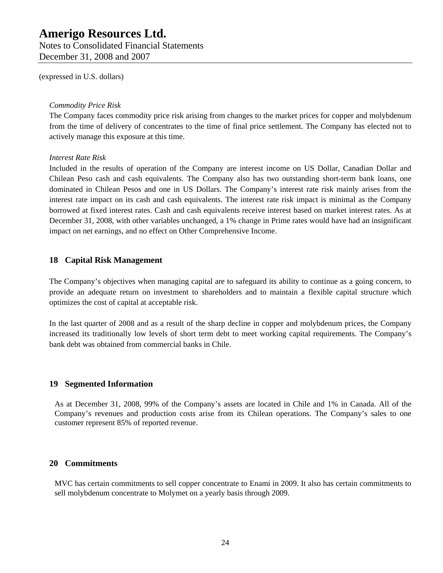Notes to Consolidated Financial Statements December 31, 2008 and 2007

(expressed in U.S. dollars)

#### *Commodity Price Risk*

The Company faces commodity price risk arising from changes to the market prices for copper and molybdenum from the time of delivery of concentrates to the time of final price settlement. The Company has elected not to actively manage this exposure at this time.

#### *Interest Rate Risk*

Included in the results of operation of the Company are interest income on US Dollar, Canadian Dollar and Chilean Peso cash and cash equivalents. The Company also has two outstanding short-term bank loans, one dominated in Chilean Pesos and one in US Dollars. The Company's interest rate risk mainly arises from the interest rate impact on its cash and cash equivalents. The interest rate risk impact is minimal as the Company borrowed at fixed interest rates. Cash and cash equivalents receive interest based on market interest rates. As at December 31, 2008, with other variables unchanged, a 1% change in Prime rates would have had an insignificant impact on net earnings, and no effect on Other Comprehensive Income.

## **18 Capital Risk Management**

The Company's objectives when managing capital are to safeguard its ability to continue as a going concern, to provide an adequate return on investment to shareholders and to maintain a flexible capital structure which optimizes the cost of capital at acceptable risk.

In the last quarter of 2008 and as a result of the sharp decline in copper and molybdenum prices, the Company increased its traditionally low levels of short term debt to meet working capital requirements. The Company's bank debt was obtained from commercial banks in Chile.

# **19 Segmented Information**

As at December 31, 2008, 99% of the Company's assets are located in Chile and 1% in Canada. All of the Company's revenues and production costs arise from its Chilean operations. The Company's sales to one customer represent 85% of reported revenue.

# **20 Commitments**

MVC has certain commitments to sell copper concentrate to Enami in 2009. It also has certain commitments to sell molybdenum concentrate to Molymet on a yearly basis through 2009.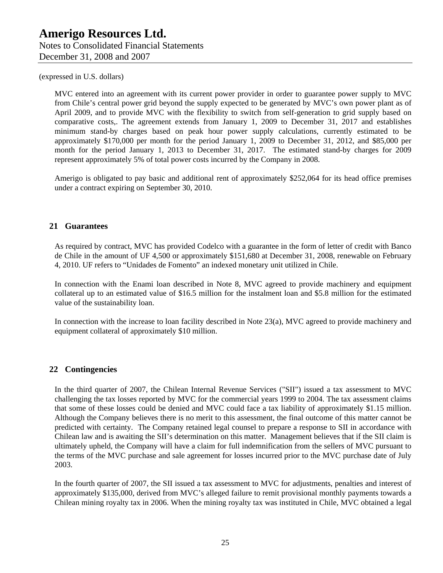MVC entered into an agreement with its current power provider in order to guarantee power supply to MVC from Chile's central power grid beyond the supply expected to be generated by MVC's own power plant as of April 2009, and to provide MVC with the flexibility to switch from self-generation to grid supply based on comparative costs,. The agreement extends from January 1, 2009 to December 31, 2017 and establishes minimum stand-by charges based on peak hour power supply calculations, currently estimated to be approximately \$170,000 per month for the period January 1, 2009 to December 31, 2012, and \$85,000 per month for the period January 1, 2013 to December 31, 2017. The estimated stand-by charges for 2009 represent approximately 5% of total power costs incurred by the Company in 2008.

Amerigo is obligated to pay basic and additional rent of approximately \$252,064 for its head office premises under a contract expiring on September 30, 2010.

# **21 Guarantees**

As required by contract, MVC has provided Codelco with a guarantee in the form of letter of credit with Banco de Chile in the amount of UF 4,500 or approximately \$151,680 at December 31, 2008, renewable on February 4, 2010. UF refers to "Unidades de Fomento" an indexed monetary unit utilized in Chile.

In connection with the Enami loan described in Note 8, MVC agreed to provide machinery and equipment collateral up to an estimated value of \$16.5 million for the instalment loan and \$5.8 million for the estimated value of the sustainability loan.

In connection with the increase to loan facility described in Note 23(a), MVC agreed to provide machinery and equipment collateral of approximately \$10 million.

# **22 Contingencies**

In the third quarter of 2007, the Chilean Internal Revenue Services ("SII") issued a tax assessment to MVC challenging the tax losses reported by MVC for the commercial years 1999 to 2004. The tax assessment claims that some of these losses could be denied and MVC could face a tax liability of approximately \$1.15 million. Although the Company believes there is no merit to this assessment, the final outcome of this matter cannot be predicted with certainty. The Company retained legal counsel to prepare a response to SII in accordance with Chilean law and is awaiting the SII's determination on this matter. Management believes that if the SII claim is ultimately upheld, the Company will have a claim for full indemnification from the sellers of MVC pursuant to the terms of the MVC purchase and sale agreement for losses incurred prior to the MVC purchase date of July 2003.

In the fourth quarter of 2007, the SII issued a tax assessment to MVC for adjustments, penalties and interest of approximately \$135,000, derived from MVC's alleged failure to remit provisional monthly payments towards a Chilean mining royalty tax in 2006. When the mining royalty tax was instituted in Chile, MVC obtained a legal